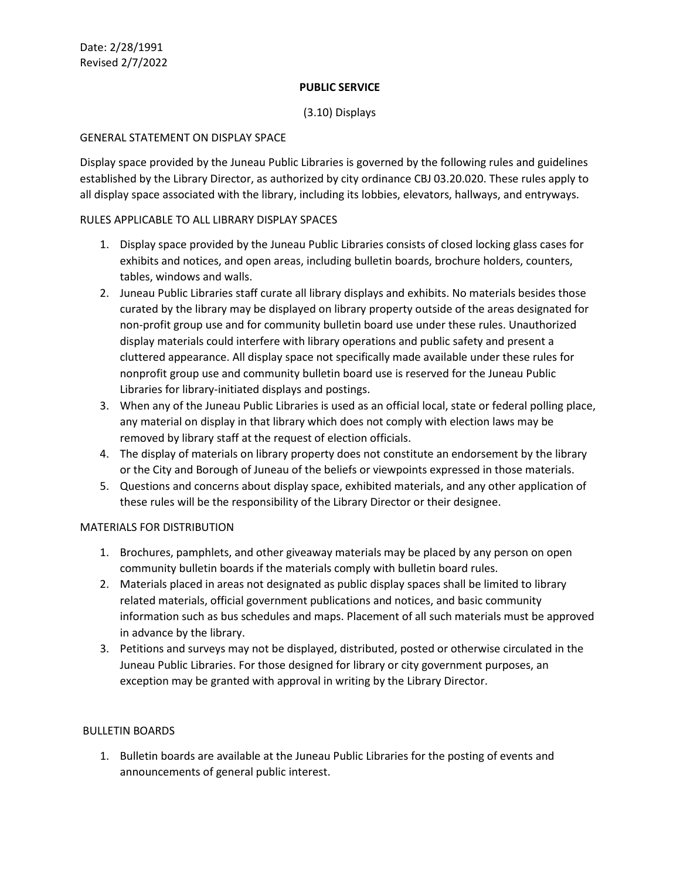### **PUBLIC SERVICE**

# (3.10) Displays

### GENERAL STATEMENT ON DISPLAY SPACE

Display space provided by the Juneau Public Libraries is governed by the following rules and guidelines established by the Library Director, as authorized by city ordinance CBJ 03.20.020. These rules apply to all display space associated with the library, including its lobbies, elevators, hallways, and entryways.

### RULES APPLICABLE TO ALL LIBRARY DISPLAY SPACES

- 1. Display space provided by the Juneau Public Libraries consists of closed locking glass cases for exhibits and notices, and open areas, including bulletin boards, brochure holders, counters, tables, windows and walls.
- 2. Juneau Public Libraries staff curate all library displays and exhibits. No materials besides those curated by the library may be displayed on library property outside of the areas designated for non-profit group use and for community bulletin board use under these rules. Unauthorized display materials could interfere with library operations and public safety and present a cluttered appearance. All display space not specifically made available under these rules for nonprofit group use and community bulletin board use is reserved for the Juneau Public Libraries for library-initiated displays and postings.
- 3. When any of the Juneau Public Libraries is used as an official local, state or federal polling place, any material on display in that library which does not comply with election laws may be removed by library staff at the request of election officials.
- 4. The display of materials on library property does not constitute an endorsement by the library or the City and Borough of Juneau of the beliefs or viewpoints expressed in those materials.
- 5. Questions and concerns about display space, exhibited materials, and any other application of these rules will be the responsibility of the Library Director or their designee.

#### MATERIALS FOR DISTRIBUTION

- 1. Brochures, pamphlets, and other giveaway materials may be placed by any person on open community bulletin boards if the materials comply with bulletin board rules.
- 2. Materials placed in areas not designated as public display spaces shall be limited to library related materials, official government publications and notices, and basic community information such as bus schedules and maps. Placement of all such materials must be approved in advance by the library.
- 3. Petitions and surveys may not be displayed, distributed, posted or otherwise circulated in the Juneau Public Libraries. For those designed for library or city government purposes, an exception may be granted with approval in writing by the Library Director.

#### BULLETIN BOARDS

1. Bulletin boards are available at the Juneau Public Libraries for the posting of events and announcements of general public interest.